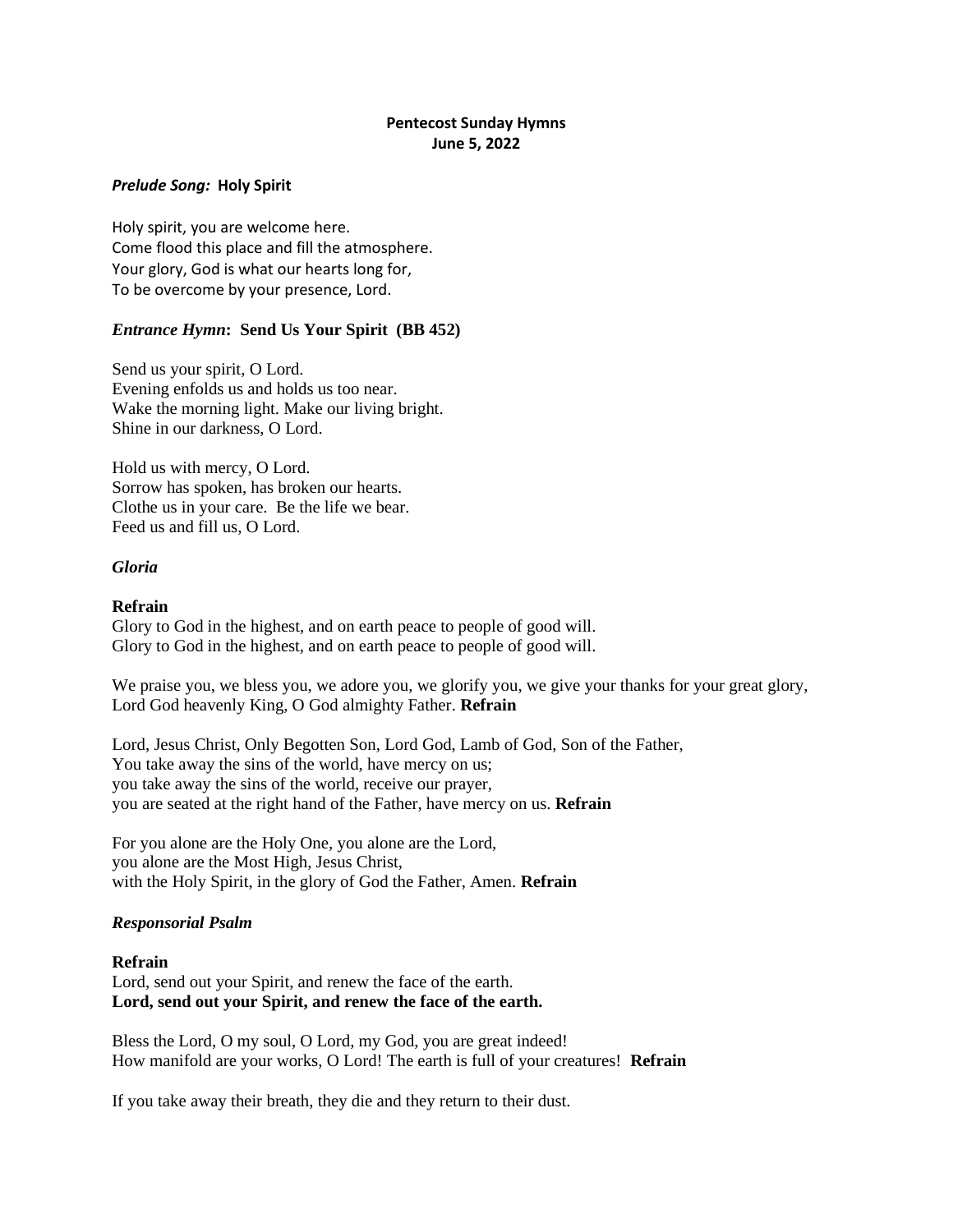# **Pentecost Sunday Hymns June 5, 2022**

#### *Prelude Song:* **Holy Spirit**

Holy spirit, you are welcome here. Come flood this place and fill the atmosphere. Your glory, God is what our hearts long for, To be overcome by your presence, Lord.

# *Entrance Hymn***: Send Us Your Spirit (BB 452)**

Send us your spirit, O Lord. Evening enfolds us and holds us too near. Wake the morning light. Make our living bright. Shine in our darkness, O Lord.

Hold us with mercy, O Lord. Sorrow has spoken, has broken our hearts. Clothe us in your care. Be the life we bear. Feed us and fill us, O Lord.

# *Gloria*

# **Refrain**

Glory to God in the highest, and on earth peace to people of good will. Glory to God in the highest, and on earth peace to people of good will.

We praise you, we bless you, we adore you, we glorify you, we give your thanks for your great glory, Lord God heavenly King, O God almighty Father. **Refrain**

Lord, Jesus Christ, Only Begotten Son, Lord God, Lamb of God, Son of the Father, You take away the sins of the world, have mercy on us; you take away the sins of the world, receive our prayer, you are seated at the right hand of the Father, have mercy on us. **Refrain**

For you alone are the Holy One, you alone are the Lord, you alone are the Most High, Jesus Christ, with the Holy Spirit, in the glory of God the Father, Amen. **Refrain**

### *Responsorial Psalm*

**Refrain** Lord, send out your Spirit, and renew the face of the earth. **Lord, send out your Spirit, and renew the face of the earth.**

Bless the Lord, O my soul, O Lord, my God, you are great indeed! How manifold are your works, O Lord! The earth is full of your creatures! **Refrain**

If you take away their breath, they die and they return to their dust.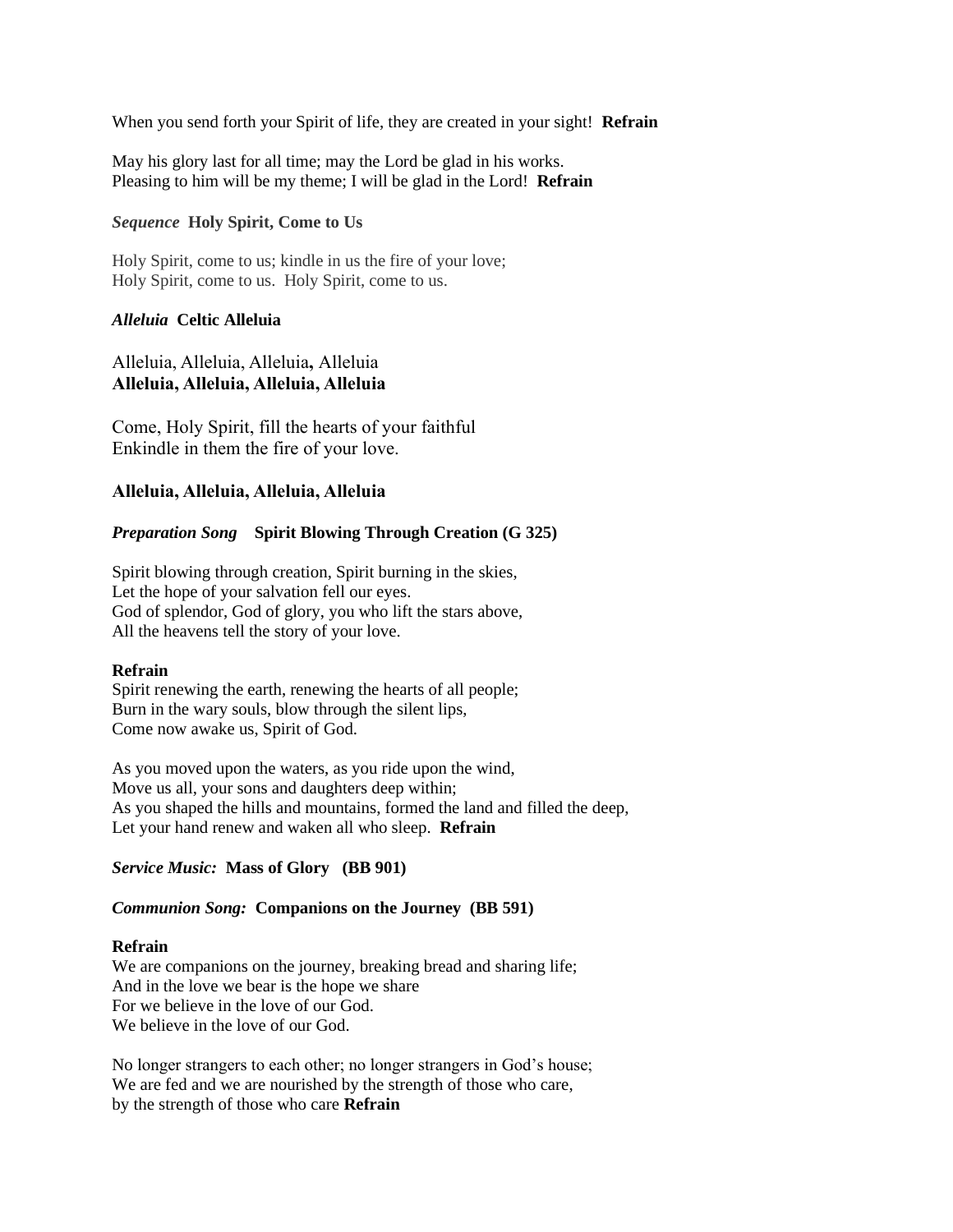When you send forth your Spirit of life, they are created in your sight! **Refrain**

May his glory last for all time; may the Lord be glad in his works. Pleasing to him will be my theme; I will be glad in the Lord! **Refrain**

#### *Sequence* **Holy Spirit, Come to Us**

Holy Spirit, come to us; kindle in us the fire of your love; Holy Spirit, come to us. Holy Spirit, come to us.

#### *Alleluia* **Celtic Alleluia**

# Alleluia, Alleluia, Alleluia**,** Alleluia **Alleluia, Alleluia, Alleluia, Alleluia**

Come, Holy Spirit, fill the hearts of your faithful Enkindle in them the fire of your love.

### **Alleluia, Alleluia, Alleluia, Alleluia**

## *Preparation Song* **Spirit Blowing Through Creation (G 325)**

Spirit blowing through creation, Spirit burning in the skies, Let the hope of your salvation fell our eyes. God of splendor, God of glory, you who lift the stars above, All the heavens tell the story of your love.

#### **Refrain**

Spirit renewing the earth, renewing the hearts of all people; Burn in the wary souls, blow through the silent lips, Come now awake us, Spirit of God.

As you moved upon the waters, as you ride upon the wind, Move us all, your sons and daughters deep within; As you shaped the hills and mountains, formed the land and filled the deep, Let your hand renew and waken all who sleep. **Refrain**

### *Service Music:* **Mass of Glory (BB 901)**

### *Communion Song:* **Companions on the Journey (BB 591)**

#### **Refrain**

We are companions on the journey, breaking bread and sharing life; And in the love we bear is the hope we share For we believe in the love of our God. We believe in the love of our God.

No longer strangers to each other; no longer strangers in God's house; We are fed and we are nourished by the strength of those who care, by the strength of those who care **Refrain**